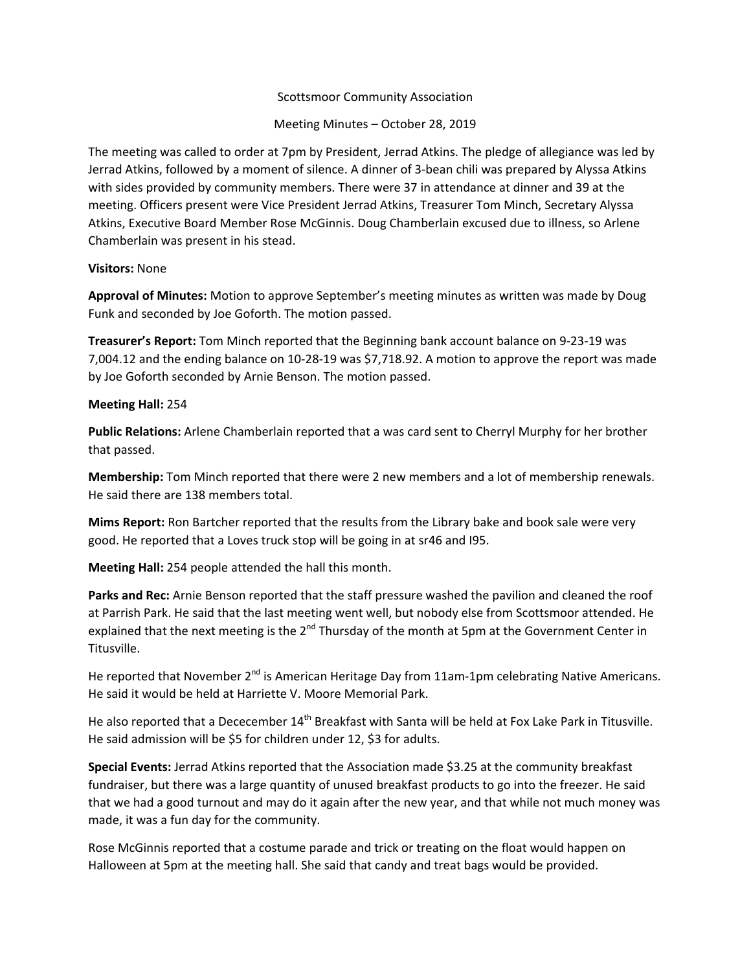## Scottsmoor Community Association

Meeting Minutes – October 28, 2019

The meeting was called to order at 7pm by President, Jerrad Atkins. The pledge of allegiance was led by Jerrad Atkins, followed by a moment of silence. A dinner of 3‐bean chili was prepared by Alyssa Atkins with sides provided by community members. There were 37 in attendance at dinner and 39 at the meeting. Officers present were Vice President Jerrad Atkins, Treasurer Tom Minch, Secretary Alyssa Atkins, Executive Board Member Rose McGinnis. Doug Chamberlain excused due to illness, so Arlene Chamberlain was present in his stead.

### **Visitors:** None

**Approval of Minutes:** Motion to approve September's meeting minutes as written was made by Doug Funk and seconded by Joe Goforth. The motion passed.

**Treasurer's Report:** Tom Minch reported that the Beginning bank account balance on 9‐23‐19 was 7,004.12 and the ending balance on 10‐28‐19 was \$7,718.92. A motion to approve the report was made by Joe Goforth seconded by Arnie Benson. The motion passed.

### **Meeting Hall:** 254

**Public Relations:** Arlene Chamberlain reported that a was card sent to Cherryl Murphy for her brother that passed.

**Membership:** Tom Minch reported that there were 2 new members and a lot of membership renewals. He said there are 138 members total.

**Mims Report:** Ron Bartcher reported that the results from the Library bake and book sale were very good. He reported that a Loves truck stop will be going in at sr46 and I95.

**Meeting Hall:** 254 people attended the hall this month.

**Parks and Rec:** Arnie Benson reported that the staff pressure washed the pavilion and cleaned the roof at Parrish Park. He said that the last meeting went well, but nobody else from Scottsmoor attended. He explained that the next meeting is the  $2^{nd}$  Thursday of the month at 5pm at the Government Center in Titusville.

He reported that November  $2^{nd}$  is American Heritage Day from 11am-1pm celebrating Native Americans. He said it would be held at Harriette V. Moore Memorial Park.

He also reported that a Dececember 14<sup>th</sup> Breakfast with Santa will be held at Fox Lake Park in Titusville. He said admission will be \$5 for children under 12, \$3 for adults.

**Special Events:** Jerrad Atkins reported that the Association made \$3.25 at the community breakfast fundraiser, but there was a large quantity of unused breakfast products to go into the freezer. He said that we had a good turnout and may do it again after the new year, and that while not much money was made, it was a fun day for the community.

Rose McGinnis reported that a costume parade and trick or treating on the float would happen on Halloween at 5pm at the meeting hall. She said that candy and treat bags would be provided.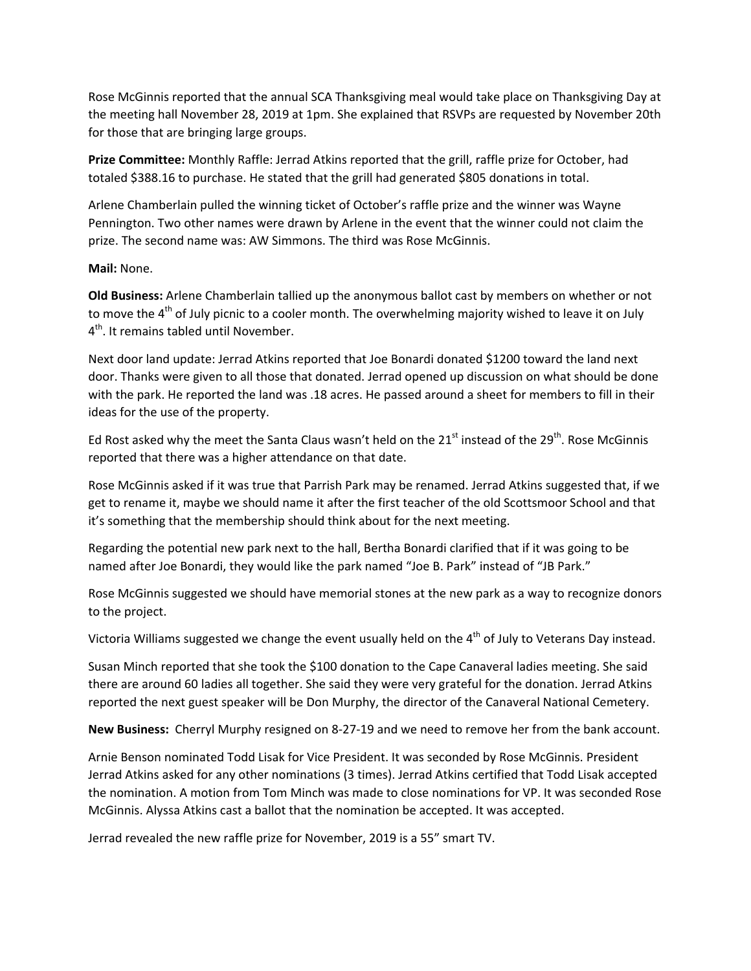Rose McGinnis reported that the annual SCA Thanksgiving meal would take place on Thanksgiving Day at the meeting hall November 28, 2019 at 1pm. She explained that RSVPs are requested by November 20th for those that are bringing large groups.

**Prize Committee:** Monthly Raffle: Jerrad Atkins reported that the grill, raffle prize for October, had totaled \$388.16 to purchase. He stated that the grill had generated \$805 donations in total.

Arlene Chamberlain pulled the winning ticket of October's raffle prize and the winner was Wayne Pennington. Two other names were drawn by Arlene in the event that the winner could not claim the prize. The second name was: AW Simmons. The third was Rose McGinnis.

# **Mail:** None.

**Old Business:** Arlene Chamberlain tallied up the anonymous ballot cast by members on whether or not to move the 4<sup>th</sup> of July picnic to a cooler month. The overwhelming majority wished to leave it on July 4<sup>th</sup>. It remains tabled until November.

Next door land update: Jerrad Atkins reported that Joe Bonardi donated \$1200 toward the land next door. Thanks were given to all those that donated. Jerrad opened up discussion on what should be done with the park. He reported the land was .18 acres. He passed around a sheet for members to fill in their ideas for the use of the property.

Ed Rost asked why the meet the Santa Claus wasn't held on the  $21<sup>st</sup>$  instead of the  $29<sup>th</sup>$ . Rose McGinnis reported that there was a higher attendance on that date.

Rose McGinnis asked if it was true that Parrish Park may be renamed. Jerrad Atkins suggested that, if we get to rename it, maybe we should name it after the first teacher of the old Scottsmoor School and that it's something that the membership should think about for the next meeting.

Regarding the potential new park next to the hall, Bertha Bonardi clarified that if it was going to be named after Joe Bonardi, they would like the park named "Joe B. Park" instead of "JB Park."

Rose McGinnis suggested we should have memorial stones at the new park as a way to recognize donors to the project.

Victoria Williams suggested we change the event usually held on the 4<sup>th</sup> of July to Veterans Day instead.

Susan Minch reported that she took the \$100 donation to the Cape Canaveral ladies meeting. She said there are around 60 ladies all together. She said they were very grateful for the donation. Jerrad Atkins reported the next guest speaker will be Don Murphy, the director of the Canaveral National Cemetery.

**New Business:** Cherryl Murphy resigned on 8‐27‐19 and we need to remove her from the bank account.

Arnie Benson nominated Todd Lisak for Vice President. It was seconded by Rose McGinnis. President Jerrad Atkins asked for any other nominations (3 times). Jerrad Atkins certified that Todd Lisak accepted the nomination. A motion from Tom Minch was made to close nominations for VP. It was seconded Rose McGinnis. Alyssa Atkins cast a ballot that the nomination be accepted. It was accepted.

Jerrad revealed the new raffle prize for November, 2019 is a 55" smart TV.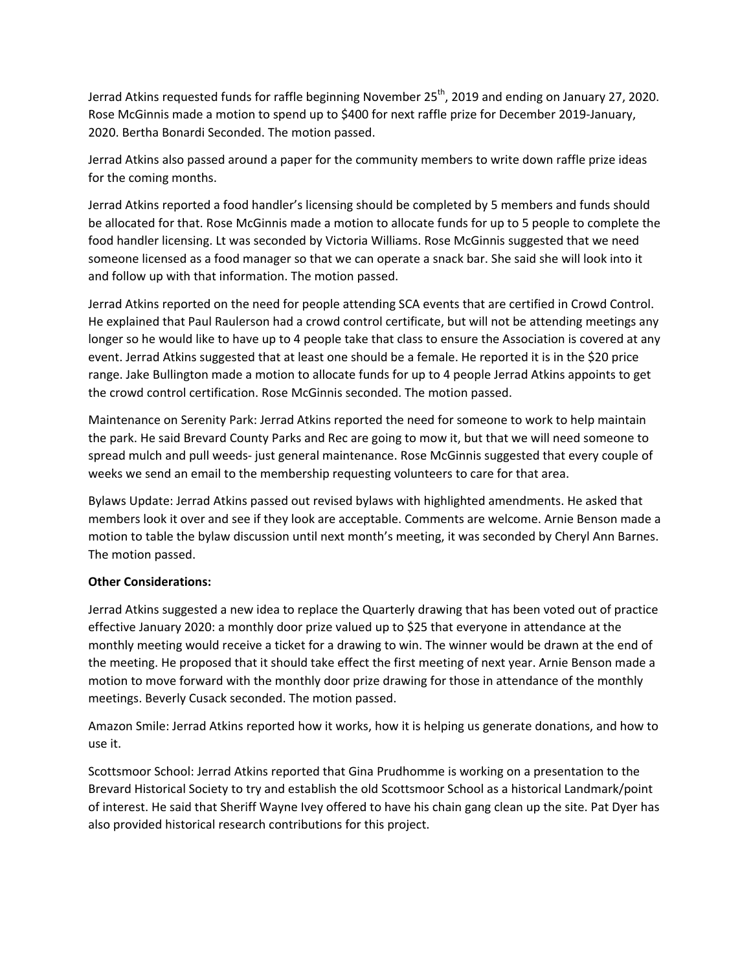Jerrad Atkins requested funds for raffle beginning November 25<sup>th</sup>, 2019 and ending on January 27, 2020. Rose McGinnis made a motion to spend up to \$400 for next raffle prize for December 2019‐January, 2020. Bertha Bonardi Seconded. The motion passed.

Jerrad Atkins also passed around a paper for the community members to write down raffle prize ideas for the coming months.

Jerrad Atkins reported a food handler's licensing should be completed by 5 members and funds should be allocated for that. Rose McGinnis made a motion to allocate funds for up to 5 people to complete the food handler licensing. Lt was seconded by Victoria Williams. Rose McGinnis suggested that we need someone licensed as a food manager so that we can operate a snack bar. She said she will look into it and follow up with that information. The motion passed.

Jerrad Atkins reported on the need for people attending SCA events that are certified in Crowd Control. He explained that Paul Raulerson had a crowd control certificate, but will not be attending meetings any longer so he would like to have up to 4 people take that class to ensure the Association is covered at any event. Jerrad Atkins suggested that at least one should be a female. He reported it is in the \$20 price range. Jake Bullington made a motion to allocate funds for up to 4 people Jerrad Atkins appoints to get the crowd control certification. Rose McGinnis seconded. The motion passed.

Maintenance on Serenity Park: Jerrad Atkins reported the need for someone to work to help maintain the park. He said Brevard County Parks and Rec are going to mow it, but that we will need someone to spread mulch and pull weeds‐ just general maintenance. Rose McGinnis suggested that every couple of weeks we send an email to the membership requesting volunteers to care for that area.

Bylaws Update: Jerrad Atkins passed out revised bylaws with highlighted amendments. He asked that members look it over and see if they look are acceptable. Comments are welcome. Arnie Benson made a motion to table the bylaw discussion until next month's meeting, it was seconded by Cheryl Ann Barnes. The motion passed.

# **Other Considerations:**

Jerrad Atkins suggested a new idea to replace the Quarterly drawing that has been voted out of practice effective January 2020: a monthly door prize valued up to \$25 that everyone in attendance at the monthly meeting would receive a ticket for a drawing to win. The winner would be drawn at the end of the meeting. He proposed that it should take effect the first meeting of next year. Arnie Benson made a motion to move forward with the monthly door prize drawing for those in attendance of the monthly meetings. Beverly Cusack seconded. The motion passed.

Amazon Smile: Jerrad Atkins reported how it works, how it is helping us generate donations, and how to use it.

Scottsmoor School: Jerrad Atkins reported that Gina Prudhomme is working on a presentation to the Brevard Historical Society to try and establish the old Scottsmoor School as a historical Landmark/point of interest. He said that Sheriff Wayne Ivey offered to have his chain gang clean up the site. Pat Dyer has also provided historical research contributions for this project.